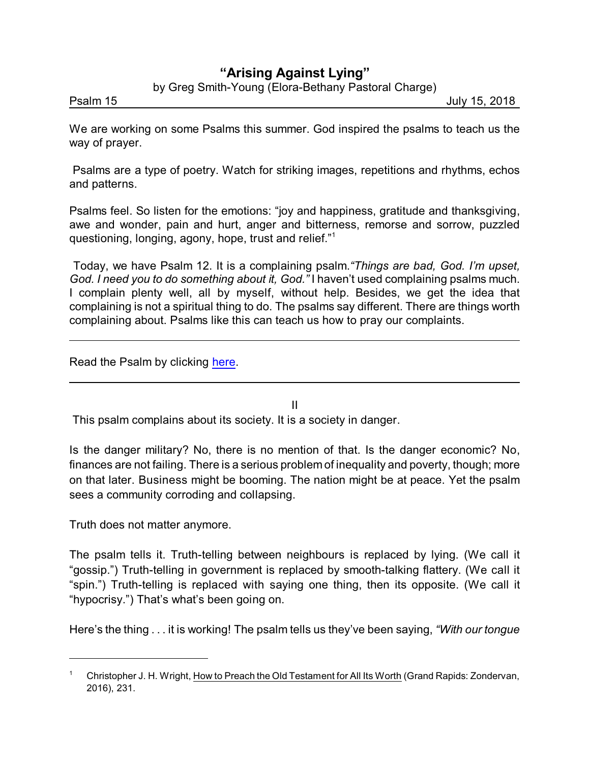## **"Arising Against Lying"**

by Greg Smith-Young (Elora-Bethany Pastoral Charge)

Psalm 15 **July 15, 2018** 

We are working on some Psalms this summer. God inspired the psalms to teach us the way of prayer.

Psalms are a type of poetry. Watch for striking images, repetitions and rhythms, echos and patterns.

Psalms feel. So listen for the emotions: "joy and happiness, gratitude and thanksgiving, awe and wonder, pain and hurt, anger and bitterness, remorse and sorrow, puzzled questioning, longing, agony, hope, trust and relief."<sup>1</sup>

Today, we have Psalm 12. It is a complaining psalm.*"Things are bad, God. I'm upset, God. I need you to do something about it, God."* I haven't used complaining psalms much. I complain plenty well, all by myself, without help. Besides, we get the idea that complaining is not a spiritual thing to do. The psalms say different. There are things worth complaining about. Psalms like this can teach us how to pray our complaints.

Read the Psalm by clicking [here](https://www.biblegateway.com/passage/?search=Psalm+12&version=CEB).

II

This psalm complains about its society. It is a society in danger.

Is the danger military? No, there is no mention of that. Is the danger economic? No, finances are not failing. There is a serious problem of inequality and poverty, though; more on that later. Business might be booming. The nation might be at peace. Yet the psalm sees a community corroding and collapsing.

Truth does not matter anymore.

The psalm tells it. Truth-telling between neighbours is replaced by lying. (We call it "gossip.") Truth-telling in government is replaced by smooth-talking flattery. (We call it "spin.") Truth-telling is replaced with saying one thing, then its opposite. (We call it "hypocrisy.") That's what's been going on.

Here's the thing . . . it is working! The psalm tells us they've been saying, *"With our tongue*

<sup>1</sup> Christopher J. H. Wright, How to Preach the Old Testament for All Its Worth (Grand Rapids: Zondervan, 2016), 231.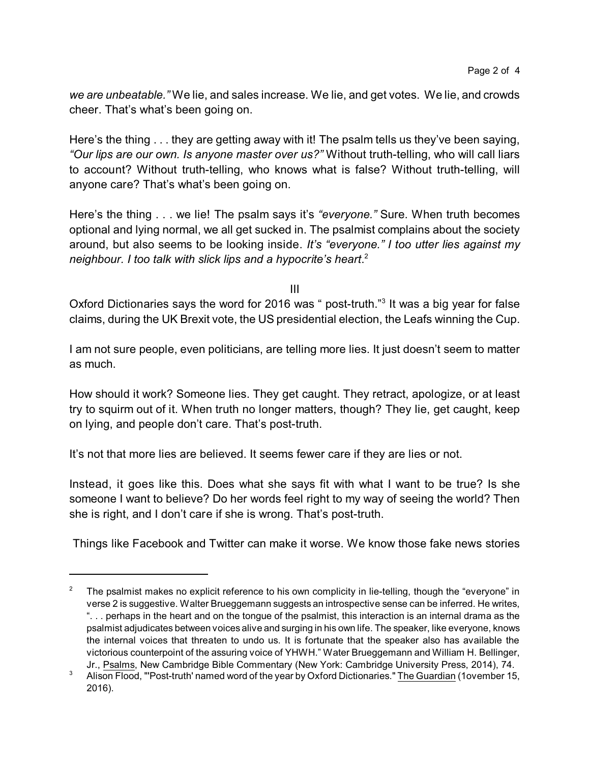*we are unbeatable."* We lie, and sales increase. We lie, and get votes. We lie, and crowds cheer. That's what's been going on.

Here's the thing . . . they are getting away with it! The psalm tells us they've been saying, *"Our lips are our own. Is anyone master over us?"* Without truth-telling, who will call liars to account? Without truth-telling, who knows what is false? Without truth-telling, will anyone care? That's what's been going on.

Here's the thing . . . we lie! The psalm says it's *"everyone."* Sure. When truth becomes optional and lying normal, we all get sucked in. The psalmist complains about the society around, but also seems to be looking inside. *It's "everyone." I too utter lies against my neighbour. I too talk with slick lips and a hypocrite's heart*. 2

III

Oxford Dictionaries says the word for 2016 was " post-truth."<sup>3</sup> It was a big year for false claims, during the UK Brexit vote, the US presidential election, the Leafs winning the Cup.

I am not sure people, even politicians, are telling more lies. It just doesn't seem to matter as much.

How should it work? Someone lies. They get caught. They retract, apologize, or at least try to squirm out of it. When truth no longer matters, though? They lie, get caught, keep on lying, and people don't care. That's post-truth.

It's not that more lies are believed. It seems fewer care if they are lies or not.

Instead, it goes like this. Does what she says fit with what I want to be true? Is she someone I want to believe? Do her words feel right to my way of seeing the world? Then she is right, and I don't care if she is wrong. That's post-truth.

Things like Facebook and Twitter can make it worse. We know those fake news stories

<sup>2</sup> The psalmist makes no explicit reference to his own complicity in lie-telling, though the "everyone" in verse 2 is suggestive. Walter Brueggemann suggests an introspective sense can be inferred. He writes, ". . . perhaps in the heart and on the tongue of the psalmist, this interaction is an internal drama as the psalmist adjudicates between voices alive and surging in his own life. The speaker, like everyone, knows the internal voices that threaten to undo us. It is fortunate that the speaker also has available the victorious counterpoint of the assuring voice of YHWH." Water Brueggemann and William H. Bellinger, Jr., Psalms, New Cambridge Bible Commentary (New York: Cambridge University Press, 2014), 74.

<sup>&</sup>lt;sup>3</sup> Alison Flood, "'Post-truth' named word of the year by Oxford Dictionaries." The Guardian (1ovember 15, 2016).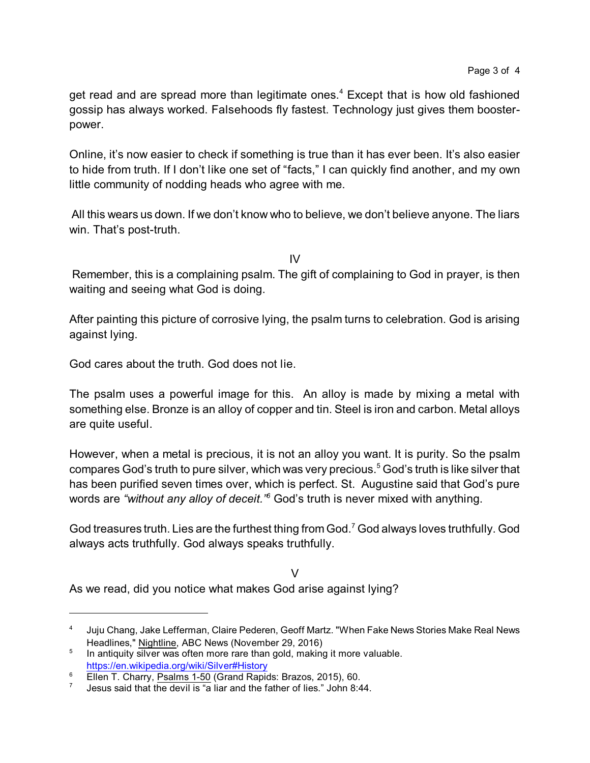get read and are spread more than legitimate ones.<sup>4</sup> Except that is how old fashioned gossip has always worked. Falsehoods fly fastest. Technology just gives them boosterpower.

Online, it's now easier to check if something is true than it has ever been. It's also easier to hide from truth. If I don't like one set of "facts," I can quickly find another, and my own little community of nodding heads who agree with me.

All this wears us down. If we don't know who to believe, we don't believe anyone. The liars win. That's post-truth.

IV

Remember, this is a complaining psalm. The gift of complaining to God in prayer, is then waiting and seeing what God is doing.

After painting this picture of corrosive lying, the psalm turns to celebration. God is arising against lying.

God cares about the truth. God does not lie.

The psalm uses a powerful image for this. An alloy is made by mixing a metal with something else. Bronze is an alloy of copper and tin. Steel is iron and carbon. Metal alloys are quite useful.

However, when a metal is precious, it is not an alloy you want. It is purity. So the psalm compares God's truth to pure silver, which was very precious.<sup>5</sup> God's truth is like silver that has been purified seven times over, which is perfect. St. Augustine said that God's pure words are *"without any alloy of deceit."<sup>6</sup>* God's truth is never mixed with anything.

God treasures truth. Lies are the furthest thing from God.<sup>7</sup> God always loves truthfully. God always acts truthfully. God always speaks truthfully.

V As we read, did you notice what makes God arise against lying?

<sup>4</sup> Juju Chang, Jake Lefferman, Claire Pederen, Geoff Martz. "When Fake News Stories Make Real News Headlines," Nightline, ABC News (November 29, 2016)

<sup>5</sup> In antiquity silver was often more rare than gold, making it more valuable. <https://en.wikipedia.org/wiki/Silver#History>

<sup>&</sup>lt;sup>6</sup> Ellen T. Charry, Psalms 1-50 (Grand Rapids: Brazos, 2015), 60.

<sup>7</sup> Jesus said that the devil is "a liar and the father of lies." John 8:44.